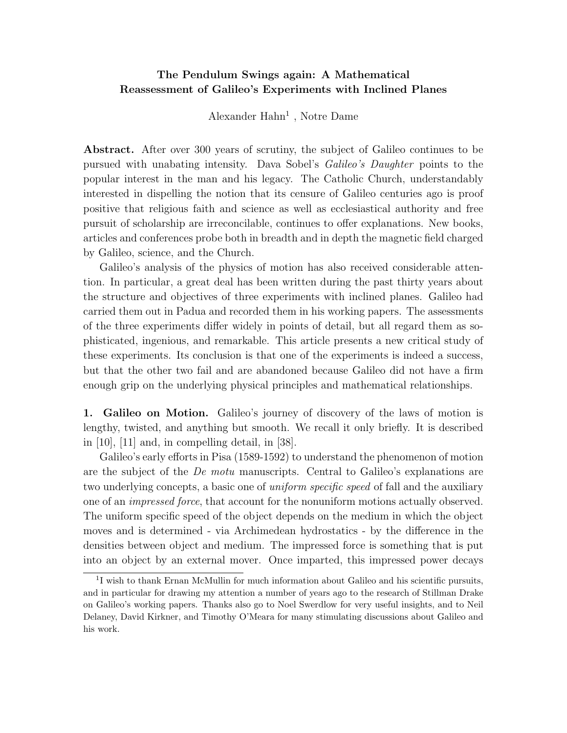## **The Pendulum Swings again: A Mathematical Reassessment of Galileo's Experiments with Inclined Planes**

Alexander  $Hahn<sup>1</sup>$ , Notre Dame

**Abstract.** After over 300 years of scrutiny, the subject of Galileo continues to be pursued with unabating intensity. Dava Sobel's *Galileo's Daughter* points to the popular interest in the man and his legacy. The Catholic Church, understandably interested in dispelling the notion that its censure of Galileo centuries ago is proof positive that religious faith and science as well as ecclesiastical authority and free pursuit of scholarship are irreconcilable, continues to offer explanations. New books, articles and conferences probe both in breadth and in depth the magnetic field charged by Galileo, science, and the Church.

Galileo's analysis of the physics of motion has also received considerable attention. In particular, a great deal has been written during the past thirty years about the structure and objectives of three experiments with inclined planes. Galileo had carried them out in Padua and recorded them in his working papers. The assessments of the three experiments differ widely in points of detail, but all regard them as sophisticated, ingenious, and remarkable. This article presents a new critical study of these experiments. Its conclusion is that one of the experiments is indeed a success, but that the other two fail and are abandoned because Galileo did not have a firm enough grip on the underlying physical principles and mathematical relationships.

**1. Galileo on Motion.** Galileo's journey of discovery of the laws of motion is lengthy, twisted, and anything but smooth. We recall it only briefly. It is described in  $[10]$ ,  $[11]$  and, in compelling detail, in  $[38]$ .

Galileo's early efforts in Pisa (1589-1592) to understand the phenomenon of motion are the subject of the De motu manuscripts. Central to Galileo's explanations are two underlying concepts, a basic one of *uniform specific speed* of fall and the auxiliary one of an impressed force, that account for the nonuniform motions actually observed. The uniform specific speed of the object depends on the medium in which the object moves and is determined - via Archimedean hydrostatics - by the difference in the densities between object and medium. The impressed force is something that is put into an object by an external mover. Once imparted, this impressed power decays

<sup>&</sup>lt;sup>1</sup>I wish to thank Ernan McMullin for much information about Galileo and his scientific pursuits, and in particular for drawing my attention a number of years ago to the research of Stillman Drake on Galileo's working papers.Thanks also go to Noel Swerdlow for very useful insights, and to Neil Delaney, David Kirkner, and Timothy O'Meara for many stimulating discussions about Galileo and his work.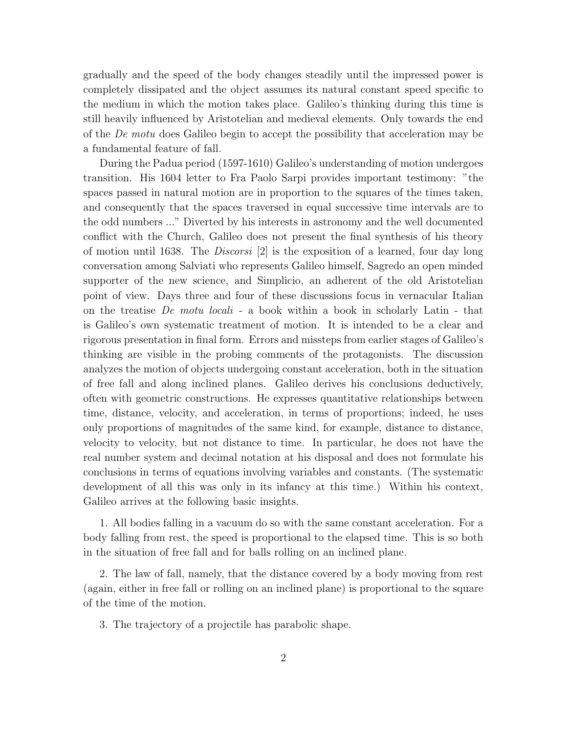gradually and the speed of the body changes steadily until the impressed power is completely dissipated and the object assumes its natural constant speed specific to the medium in which the motion takes place. Galileo's thinking during this time is still heavily influenced by Aristotelian and medieval elements. Only towards the end of the De motu does Galileo begin to accept the possibility that acceleration may be a fundamental feature of fall.

During the Padua period (1597-1610) Galileo's understanding of motion undergoes transition. His 1604 letter to Fra Paolo Sarpi provides important testimony: "the spaces passed in natural motion are in proportion to the squares of the times taken, and consequently that the spaces traversed in equal successive time intervals are to the odd numbers ..." Diverted by his interests in astronomy and the well documented conflict with the Church, Galileo does not present the final synthesis of his theory of motion until 1638. The *Discorsi* [2] is the exposition of a learned, four day long conversation amongSalviati who represents Galileo himself, Sagredo an open minded supporter of the new science, and Simplicio, an adherent of the old Aristotelian point of view. Days three and four of these discussions focus in vernacular Italian on the treatise De motu locali - a book within a book in scholarly Latin - that is Galileo's own systematic treatment of motion. It is intended to be a clear and rigorous presentation in final form. Errors and missteps from earlier stages of Galileo's thinkingare visible in the probingcomments of the protagonists. The discussion analyzes the motion of objects undergoing constant acceleration, both in the situation of free fall and along inclined planes. Galileo derives his conclusions deductively, often with geometric constructions. He expresses quantitative relationships between time, distance, velocity, and acceleration, in terms of proportions; indeed, he uses only proportions of magnitudes of the same kind, for example, distance to distance, velocity to velocity, but not distance to time. In particular, he does not have the real number system and decimal notation at his disposal and does not formulate his conclusions in terms of equations involving variables and constants. (The systematic development of all this was only in its infancy at this time.) Within his context, Galileo arrives at the following basic insights.

1. All bodies fallingin a vacuum do so with the same constant acceleration. For a body falling from rest, the speed is proportional to the elapsed time. This is so both in the situation of free fall and for balls rolling on an inclined plane.

2. The law of fall, namely, that the distance covered by a body movingfrom rest (again, either in free fall or rolling on an inclined plane) is proportional to the square of the time of the motion.

3. The trajectory of a projectile has parabolic shape.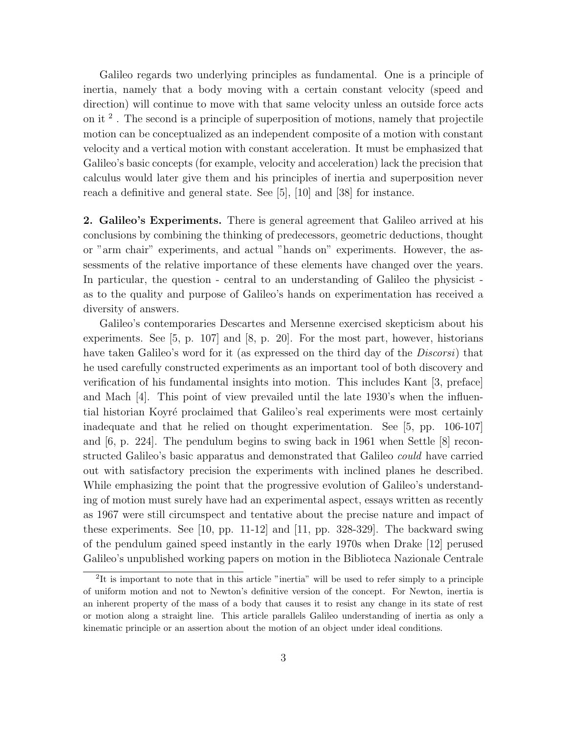Galileo regards two underlying principles as fundamental. One is a principle of inertia, namely that a body moving with a certain constant velocity (speed and direction) will continue to move with that same velocity unless an outside force acts on it  $^2$ . The second is a principle of superposition of motions, namely that projectile motion can be conceptualized as an independent composite of a motion with constant velocity and a vertical motion with constant acceleration. It must be emphasized that Galileo's basic concepts (for example, velocity and acceleration) lack the precision that calculus would later give them and his principles of inertia and superposition never reach a definitive and general state. See [5], [10] and [38] for instance.

**2. Galileo's Experiments.** There is general agreement that Galileo arrived at his conclusions by combining the thinking of predecessors, geometric deductions, thought or "arm chair" experiments, and actual "hands on" experiments. However, the assessments of the relative importance of these elements have changed over the years. In particular, the question - central to an understanding of Galileo the physicist as to the quality and purpose of Galileo's hands on experimentation has received a diversity of answers.

Galileo's contemporaries Descartes and Mersenne exercised skepticism about his experiments. See [5, p. 107] and [8, p. 20]. For the most part, however, historians have taken Galileo's word for it (as expressed on the third day of the *Discorsi*) that he used carefully constructed experiments as an important tool of both discovery and verification of his fundamental insights into motion. This includes Kant [3, preface] and Mach [4]. This point of view prevailed until the late 1930's when the influential historian Koyré proclaimed that Galileo's real experiments were most certainly inadequate and that he relied on thought experimentation. See [5, pp. 106-107] and  $[6, p. 224]$ . The pendulum begins to swing back in 1961 when Settle  $[8]$  reconstructed Galileo's basic apparatus and demonstrated that Galileo could have carried out with satisfactory precision the experiments with inclined planes he described. While emphasizing the point that the progressive evolution of Galileo's understanding of motion must surely have had an experimental aspect, essays written as recently as 1967 were still circumspect and tentative about the precise nature and impact of these experiments. See  $[10, pp. 11-12]$  and  $[11, pp. 328-329]$ . The backward swing of the pendulum gained speed instantly in the early 1970s when Drake [12] perused Galileo's unpublished working papers on motion in the Biblioteca Nazionale Centrale

<sup>2</sup>It is important to note that in this article "inertia" will be used to refer simply to a principle of uniform motion and not to Newton's definitive version of the concept.For Newton, inertia is an inherent property of the mass of a body that causes it to resist any change in its state of rest or motion along a straight line. This article parallels Galileo understanding of inertia as only a kinematic principle or an assertion about the motion of an object under ideal conditions.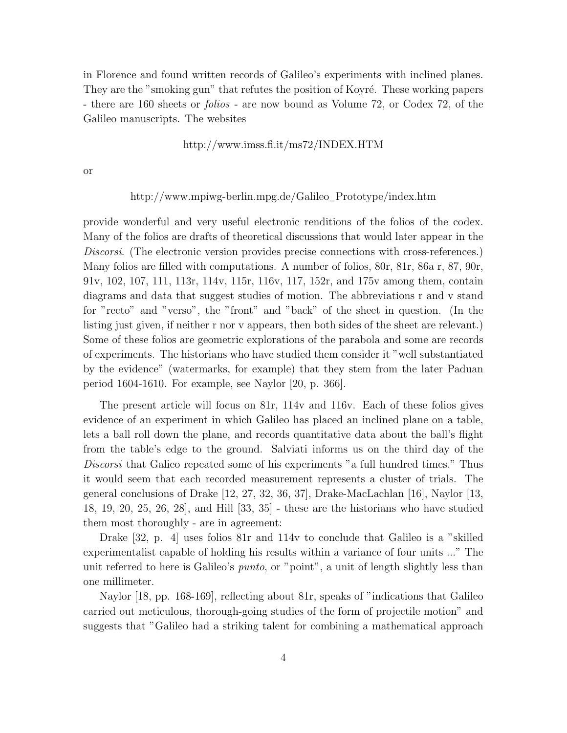in Florence and found written records of Galileo's experiments with inclined planes. They are the "smoking gun" that refutes the position of Koyré. These working papers - there are 160 sheets or folios - are now bound as Volume 72, or Codex 72, of the Galileo manuscripts. The websites

## http://www.imss.fi.it/ms72/INDEX.HTM

or

## http://www.mpiwg-berlin.mpg.de/Galileo−Prototype/index.htm

provide wonderful and very useful electronic renditions of the folios of the codex. Many of the folios are drafts of theoretical discussions that would later appear in the Discorsi. (The electronic version provides precise connections with cross-references.) Many folios are filled with computations. A number of folios, 80r, 81r, 86a r, 87, 90r, 91v, 102, 107, 111, 113r, 114v, 115r, 116v, 117, 152r, and 175v amongthem, contain diagrams and data that suggest studies of motion. The abbreviations r and v stand for "recto" and "verso", the "front" and "back" of the sheet in question. (In the listing just given, if neither r nor v appears, then both sides of the sheet are relevant.) Some of these folios are geometric explorations of the parabola and some are records of experiments. The historians who have studied them consider it "well substantiated by the evidence" (watermarks, for example) that they stem from the later Paduan period 1604-1610. For example, see Naylor [20, p. 366].

The present article will focus on 81r, 114v and 116v. Each of these folios gives evidence of an experiment in which Galileo has placed an inclined plane on a table, lets a ball roll down the plane, and records quantitative data about the ball's flight from the table's edge to the ground. Salviati informs us on the third day of the Discorsi that Galieo repeated some of his experiments "a full hundred times." Thus it would seem that each recorded measurement represents a cluster of trials. The general conclusions of Drake [12, 27, 32, 36, 37], Drake-MacLachlan [16], Naylor [13, 18, 19, 20, 25, 26, 28], and Hill [33, 35] - these are the historians who have studied them most thoroughly - are in agreement:

Drake [32, p. 4] uses folios 81r and 114v to conclude that Galileo is a "skilled experimentalist capable of holding his results within a variance of four units ..." The unit referred to here is Galileo's *punto*, or "point", a unit of length slightly less than one millimeter.

Naylor [18, pp. 168-169], reflecting about 81r, speaks of "indications that Galileo carried out meticulous, thorough-going studies of the form of projectile motion" and suggests that "Galileo had a striking talent for combining a mathematical approach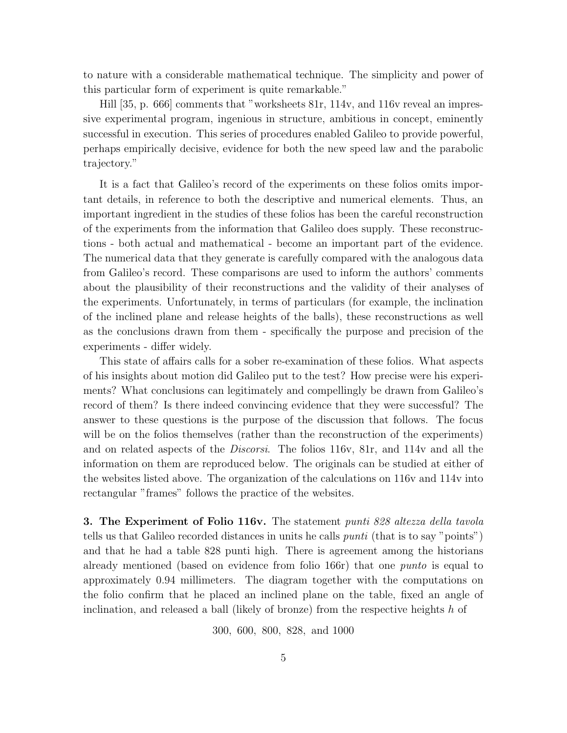to nature with a considerable mathematical technique. The simplicity and power of this particular form of experiment is quite remarkable."

Hill [35, p. 666] comments that "worksheets 81r, 114v, and 116v reveal an impressive experimental program, ingenious in structure, ambitious in concept, eminently successful in execution. This series of procedures enabled Galileo to provide powerful, perhaps empirically decisive, evidence for both the new speed law and the parabolic trajectory."

It is a fact that Galileo's record of the experiments on these folios omits important details, in reference to both the descriptive and numerical elements. Thus, an important ingredient in the studies of these folios has been the careful reconstruction of the experiments from the information that Galileo does supply. These reconstructions - both actual and mathematical - become an important part of the evidence. The numerical data that they generate is carefully compared with the analogous data from Galileo's record. These comparisons are used to inform the authors' comments about the plausibility of their reconstructions and the validity of their analyses of the experiments. Unfortunately, in terms of particulars (for example, the inclination of the inclined plane and release heights of the balls), these reconstructions as well as the conclusions drawn from them - specifically the purpose and precision of the experiments - differ widely.

This state of affairs calls for a sober re-examination of these folios. What aspects of his insights about motion did Galileo put to the test? How precise were his experiments? What conclusions can legitimately and compellingly be drawn from Galileo's record of them? Is there indeed convincing evidence that they were successful? The answer to these questions is the purpose of the discussion that follows. The focus will be on the folios themselves (rather than the reconstruction of the experiments) and on related aspects of the Discorsi. The folios 116v, 81r, and 114v and all the information on them are reproduced below. The originals can be studied at either of the websites listed above. The organization of the calculations on 116v and 114v into rectangular "frames" follows the practice of the websites.

**3. The Experiment of Folio 116v.** The statement punti 828 altezza della tavola tells us that Galileo recorded distances in units he calls punti (that is to say "points") and that he had a table 828 punti high. There is agreement among the historians already mentioned (based on evidence from folio 166r) that one punto is equal to approximately 0.94 millimeters. The diagram together with the computations on the folio confirm that he placed an inclined plane on the table, fixed an angle of inclination, and released a ball (likely of bronze) from the respective heights  $h$  of

300, 600, 800, 828, and 1000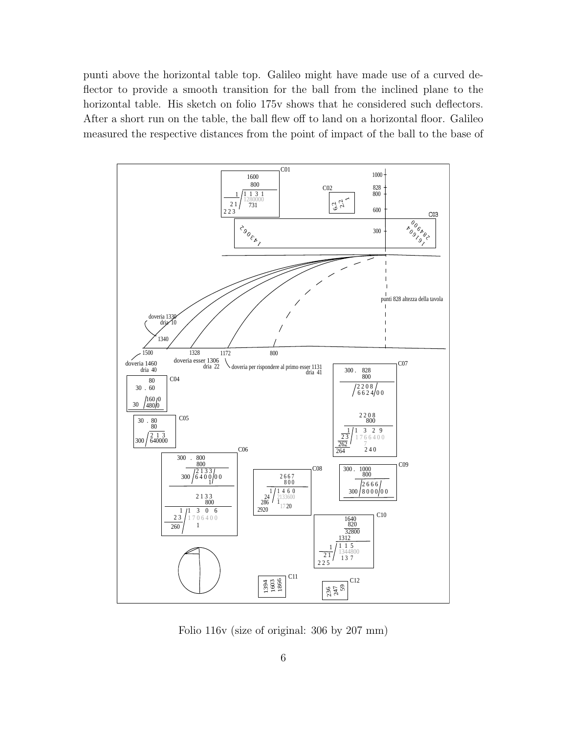punti above the horizontal table top. Galileo might have made use of a curved deflector to provide a smooth transition for the ball from the inclined plane to the horizontal table. His sketch on folio 175v shows that he considered such deflectors. After a short run on the table, the ball flew off to land on a horizontal floor. Galileo measured the respective distances from the point of impact of the ball to the base of



Folio 116v (size of original: 306 by 207 mm)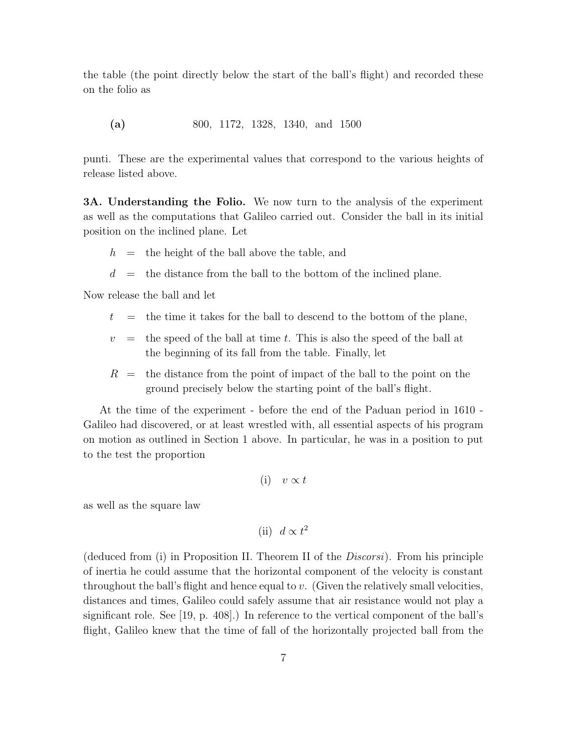the table (the point directly below the start of the ball's flight) and recorded these on the folio as

**(a)** 800, 1172, 1328, 1340, and 1500

punti. These are the experimental values that correspond to the various heights of release listed above.

**3A. Understanding the Folio.** We now turn to the analysis of the experiment as well as the computations that Galileo carried out. Consider the ball in its initial position on the inclined plane. Let

- $h =$  the height of the ball above the table, and
- $d =$  the distance from the ball to the bottom of the inclined plane.

Now release the ball and let

- $t =$  the time it takes for the ball to descend to the bottom of the plane,
- $v =$  the speed of the ball at time t. This is also the speed of the ball at the beginning of its fall from the table. Finally, let
- $R =$  the distance from the point of impact of the ball to the point on the ground precisely below the starting point of the ball's flight.

At the time of the experiment - before the end of the Paduan period in 1610 - Galileo had discovered, or at least wrestled with, all essential aspects of his program on motion as outlined in Section 1 above. In particular, he was in a position to put to the test the proportion

$$
(i) \quad v \propto t
$$

as well as the square law

(ii) 
$$
d \propto t^2
$$

(deduced from (i) in Proposition II. Theorem II of the Discorsi). From his principle of inertia he could assume that the horizontal component of the velocity is constant throughout the ball's flight and hence equal to v. (Given the relatively small velocities, distances and times, Galileo could safely assume that air resistance would not play a significant role. See [19, p. 408].) In reference to the vertical component of the ball's flight, Galileo knew that the time of fall of the horizontally projected ball from the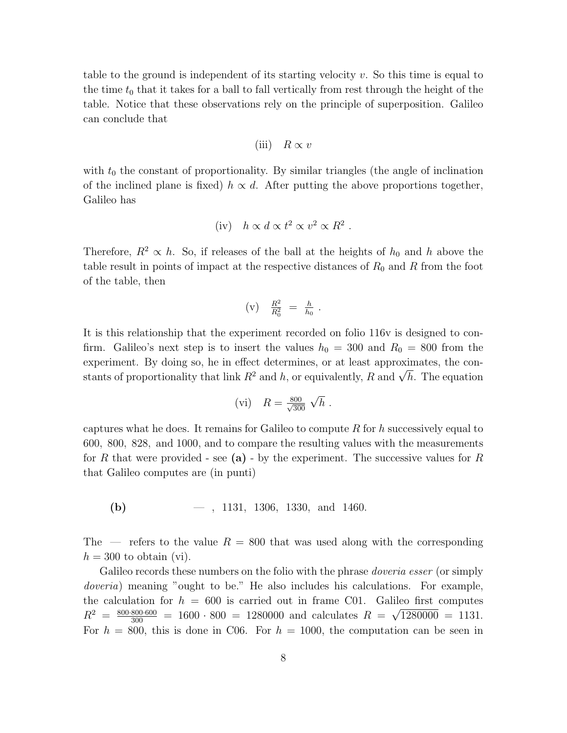table to the ground is independent of its starting velocity  $v$ . So this time is equal to the time  $t_0$  that it takes for a ball to fall vertically from rest through the height of the table. Notice that these observations rely on the principle of superposition. Galileo can conclude that

$$
(iii) \quad R \propto v
$$

with  $t_0$  the constant of proportionality. By similar triangles (the angle of inclination of the inclined plane is fixed)  $h \propto d$ . After putting the above proportions together, Galileo has

(iv) 
$$
h \propto d \propto t^2 \propto v^2 \propto R^2
$$
.

Therefore,  $R^2 \propto h$ . So, if releases of the ball at the heights of  $h_0$  and h above the table result in points of impact at the respective distances of  $R_0$  and R from the foot of the table, then

$$
(v) \quad \frac{R^2}{R_0^2} \; = \; \frac{h}{h_0} \; .
$$

It is this relationship that the experiment recorded on folio 116v is designed to confirm. Galileo's next step is to insert the values  $h_0 = 300$  and  $R_0 = 800$  from the experiment. By doing so, he in effect determines, or at least approximates, the constants of proportionality that link  $R^2$  and h, or equivalently, R and  $\sqrt{h}$ . The equation

(vi) 
$$
R = \frac{800}{\sqrt{300}} \sqrt{h}
$$
.

captures what he does. It remains for Galileo to compute  $R$  for h successively equal to 600, 800, 828, and 1000, and to compare the resultingvalues with the measurements for R that were provided - see  $(a)$  - by the experiment. The successive values for R that Galileo computes are (in punti)

**(b)** — , 1131, 1306, 1330, and 1460.

The — refers to the value  $R = 800$  that was used along with the corresponding  $h = 300$  to obtain (vi).

Galileo records these numbers on the folio with the phrase *doveria esser* (or simply doveria) meaning "ought to be." He also includes his calculations. For example, the calculation for  $h = 600$  is carried out in frame C01. Galileo first computes  $R^2 = \frac{800 \cdot 800 \cdot 600}{300} = 1600 \cdot 800 = 1280000$  and calculates  $R = \sqrt{1280000} = 1131$ . For  $h = 800$ , this is done in C06. For  $h = 1000$ , the computation can be seen in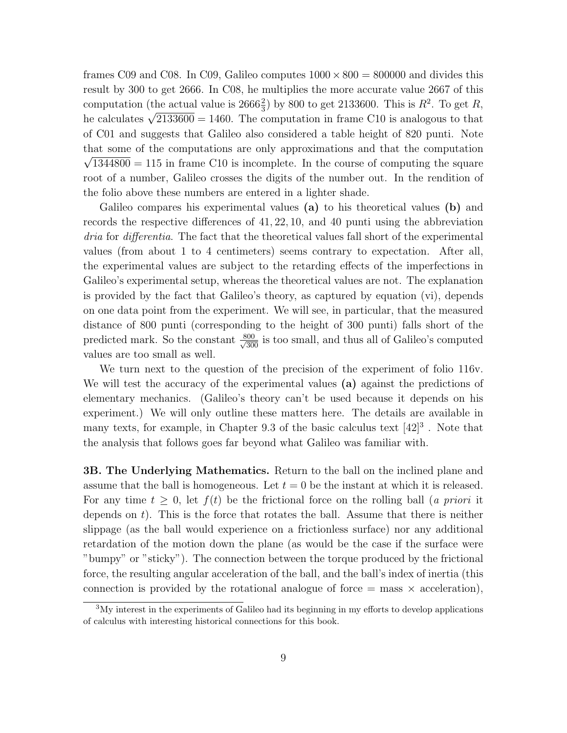frames C09 and C08. In C09, Galileo computes  $1000 \times 800 = 800000$  and divides this result by 300 to get 2666. In C08, he multiplies the more accurate value 2667 of this computation (the actual value is  $2666\frac{2}{3}$ ) by 800 to get 2133600. This is  $R^2$ . To get R, he calculates  $\sqrt{2133600} = 1460$ . The computation in frame C10 is analogous to that of C01 and suggests that Galileo also considered a table height of 820 punti. Note that some of the computations are only approximations and that the computation  $\sqrt{1344800} = 115$  in frame C10 is incomplete. In the course of computing the square root of a number, Galileo crosses the digits of the number out. In the rendition of the folio above these numbers are entered in a lighter shade.

Galileo compares his experimental values **(a)** to his theoretical values **(b)** and records the respective differences of  $41, 22, 10$ , and  $40$  punti using the abbreviation dria for differentia. The fact that the theoretical values fall short of the experimental values (from about 1 to 4 centimeters) seems contrary to expectation. After all, the experimental values are subject to the retardingeffects of the imperfections in Galileo's experimental setup, whereas the theoretical values are not. The explanation is provided by the fact that Galileo's theory, as captured by equation (vi), depends on one data point from the experiment. We will see, in particular, that the measured distance of 800 punti (corresponding to the height of 300 punti) falls short of the predicted mark. So the constant  $\frac{800}{\sqrt{300}}$  is too small, and thus all of Galileo's computed values are too small as well.

We turn next to the question of the precision of the experiment of folio 116v. We will test the accuracy of the experimental values **(a)** against the predictions of elementary mechanics. (Galileo's theory can't be used because it depends on his experiment.) We will only outline these matters here. The details are available in many texts, for example, in Chapter 9.3 of the basic calculus text  $[42]^3$ . Note that the analysis that follows goes far beyond what Galileo was familiar with.

**3B. The Underlying Mathematics.** Return to the ball on the inclined plane and assume that the ball is homogeneous. Let  $t = 0$  be the instant at which it is released. For any time  $t \geq 0$ , let  $f(t)$  be the frictional force on the rolling ball (a priori it depends on  $t$ ). This is the force that rotates the ball. Assume that there is neither slippage (as the ball would experience on a frictionless surface) nor any additional retardation of the motion down the plane (as would be the case if the surface were "bumpy" or "sticky"). The connection between the torque produced by the frictional force, the resultingangular acceleration of the ball, and the ball's index of inertia (this connection is provided by the rotational analogue of force  $=$  mass  $\times$  acceleration),

<sup>3</sup>My interest in the experiments of Galileo had its beginning in my efforts to develop applications of calculus with interesting historical connections for this book.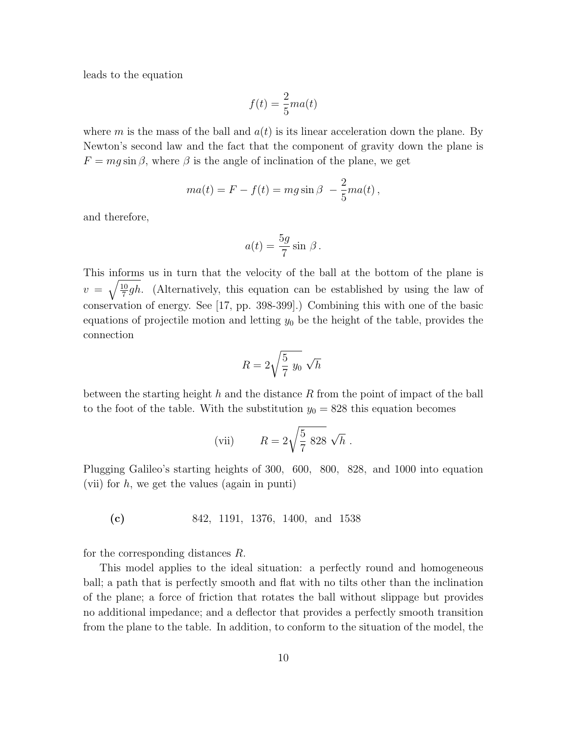leads to the equation

$$
f(t) = \frac{2}{5}ma(t)
$$

where m is the mass of the ball and  $a(t)$  is its linear acceleration down the plane. By Newton's second law and the fact that the component of gravity down the plane is  $F = mg \sin \beta$ , where  $\beta$  is the angle of inclination of the plane, we get

$$
ma(t) = F - f(t) = mg\sin\beta - \frac{2}{5}ma(t),
$$

and therefore,

$$
a(t) = \frac{5g}{7}\sin \beta.
$$

This informs us in turn that the velocity of the ball at the bottom of the plane is  $v = \sqrt{\frac{10}{7}gh}$ . (Alternatively, this equation can be established by using the law of conservation of energy. See [17, pp. 398-399].) Combining this with one of the basic equations of projectile motion and letting  $y_0$  be the height of the table, provides the connection

$$
R = 2\sqrt{\frac{5}{7}} y_0 \sqrt{h}
$$

between the starting height h and the distance R from the point of impact of the ball to the foot of the table. With the substitution  $y_0 = 828$  this equation becomes

(vii) 
$$
R = 2\sqrt{\frac{5}{7}} 828 \sqrt{h}
$$
.

Plugging Galileo's starting heights of 300, 600, 800, 828, and 1000 into equation (vii) for  $h$ , we get the values (again in punti)

**(c)** 842, 1191, 1376, 1400, and 1538

for the corresponding distances  $R$ .

This model applies to the ideal situation: a perfectly round and homogeneous ball; a path that is perfectly smooth and flat with no tilts other than the inclination of the plane; a force of friction that rotates the ball without slippage but provides no additional impedance; and a deflector that provides a perfectly smooth transition from the plane to the table. In addition, to conform to the situation of the model, the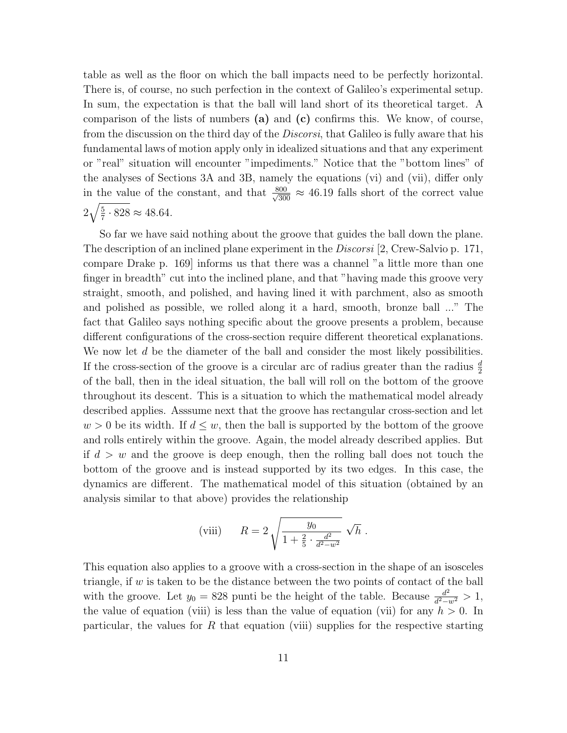table as well as the floor on which the ball impacts need to be perfectly horizontal. There is, of course, no such perfection in the context of Galileo's experimental setup. In sum, the expectation is that the ball will land short of its theoretical target. A comparison of the lists of numbers **(a)** and **(c)** confirms this. We know, of course, from the discussion on the third day of the *Discorsi*, that Galileo is fully aware that his fundamental laws of motion apply only in idealized situations and that any experiment or "real" situation will encounter "impediments." Notice that the "bottom lines" of the analyses of Sections 3A and 3B, namely the equations (vi) and (vii), differ only in the value of the constant, and that  $\frac{800}{\sqrt{30}}$  $\frac{500}{300} \approx 46.19$  falls short of the correct value  $2\sqrt{\frac{5}{7}\cdot 828} \approx 48.64.$ 

So far we have said nothing about the groove that guides the ball down the plane. The description of an inclined plane experiment in the *Discorsi* [2, Crew-Salvio p. 171, compare Drake p. 169] informs us that there was a channel "a little more than one finger in breadth" cut into the inclined plane, and that "having made this groove very straight, smooth, and polished, and having lined it with parchment, also as smooth and polished as possible, we rolled alongit a hard, smooth, bronze ball ..." The fact that Galileo says nothing specific about the groove presents a problem, because different configurations of the cross-section require different theoretical explanations. We now let  $d$  be the diameter of the ball and consider the most likely possibilities. If the cross-section of the groove is a circular arc of radius greater than the radius  $\frac{d}{2}$ of the ball, then in the ideal situation, the ball will roll on the bottom of the groove throughout its descent. This is a situation to which the mathematical model already described applies. Asssume next that the groove has rectangular cross-section and let  $w > 0$  be its width. If  $d \leq w$ , then the ball is supported by the bottom of the groove and rolls entirely within the groove. Again, the model already described applies. But if  $d > w$  and the groove is deep enough, then the rolling ball does not touch the bottom of the groove and is instead supported by its two edges. In this case, the dynamics are different. The mathematical model of this situation (obtained by an analysis similar to that above) provides the relationship

(viii) 
$$
R = 2 \sqrt{\frac{y_0}{1 + \frac{2}{5} \cdot \frac{d^2}{d^2 - w^2}}} \sqrt{h}
$$
.

This equation also applies to a groove with a cross-section in the shape of an isosceles triangle, if  $w$  is taken to be the distance between the two points of contact of the ball with the groove. Let  $y_0 = 828$  punti be the height of the table. Because  $\frac{d^2}{d^2 - w^2} > 1$ , the value of equation (viii) is less than the value of equation (vii) for any  $h > 0$ . In particular, the values for R that equation (viii) supplies for the respective starting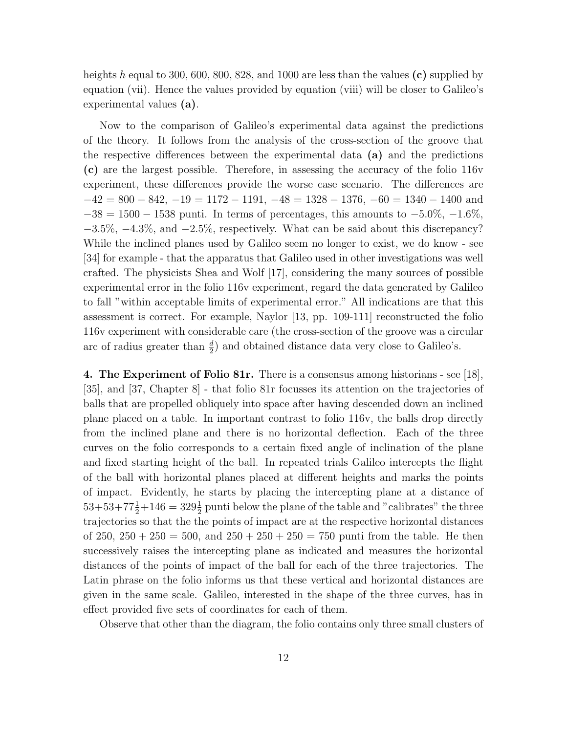heights h equal to 300, 600, 800, 828, and 1000 are less than the values **(c)** supplied by equation (vii). Hence the values provided by equation (viii) will be closer to Galileo's experimental values **(a)**.

Now to the comparison of Galileo's experimental data against the predictions of the theory. It follows from the analysis of the cross-section of the groove that the respective differences between the experimental data **(a)** and the predictions **(c)** are the largest possible. Therefore, in assessing the accuracy of the folio 116v experiment, these differences provide the worse case scenario. The differences are  $-42 = 800 - 842$ ,  $-19 = 1172 - 1191$ ,  $-48 = 1328 - 1376$ ,  $-60 = 1340 - 1400$  and  $-38 = 1500 - 1538$  punti. In terms of percentages, this amounts to  $-5.0\%$ ,  $-1.6\%$ , −3.5%, −4.3%, and −2.5%, respectively. What can be said about this discrepancy? While the inclined planes used by Galileo seem no longer to exist, we do know - see [34] for example - that the apparatus that Galileo used in other investigations was well crafted. The physicists Shea and Wolf  $|17|$ , considering the many sources of possible experimental error in the folio 116v experiment, regard the data generated by Galileo to fall "within acceptable limits of experimental error." All indications are that this assessment is correct. For example, Naylor [13, pp. 109-111] reconstructed the folio 116v experiment with considerable care (the cross-section of the groove was a circular arc of radius greater than  $\frac{d}{2}$  and obtained distance data very close to Galileo's.

**4. The Experiment of Folio 81r.** There is a consensus among historians - see [18], [35], and [37, Chapter 8] - that folio 81r focusses its attention on the trajectories of balls that are propelled obliquely into space after having descended down an inclined plane placed on a table. In important contrast to folio 116v, the balls drop directly from the inclined plane and there is no horizontal deflection. Each of the three curves on the folio corresponds to a certain fixed angle of inclination of the plane and fixed starting height of the ball. In repeated trials Galileo intercepts the flight of the ball with horizontal planes placed at different heights and marks the points of impact. Evidently, he starts by placing the intercepting plane at a distance of  $53+53+77\frac{1}{2}+146=329\frac{1}{2}$  punti below the plane of the table and "calibrates" the three trajectories so that the the points of impact are at the respective horizontal distances of 250,  $250 + 250 = 500$ , and  $250 + 250 + 250 = 750$  punti from the table. He then successively raises the intercepting plane as indicated and measures the horizontal distances of the points of impact of the ball for each of the three trajectories. The Latin phrase on the folio informs us that these vertical and horizontal distances are given in the same scale. Galileo, interested in the shape of the three curves, has in effect provided five sets of coordinates for each of them.

Observe that other than the diagram, the folio contains only three small clusters of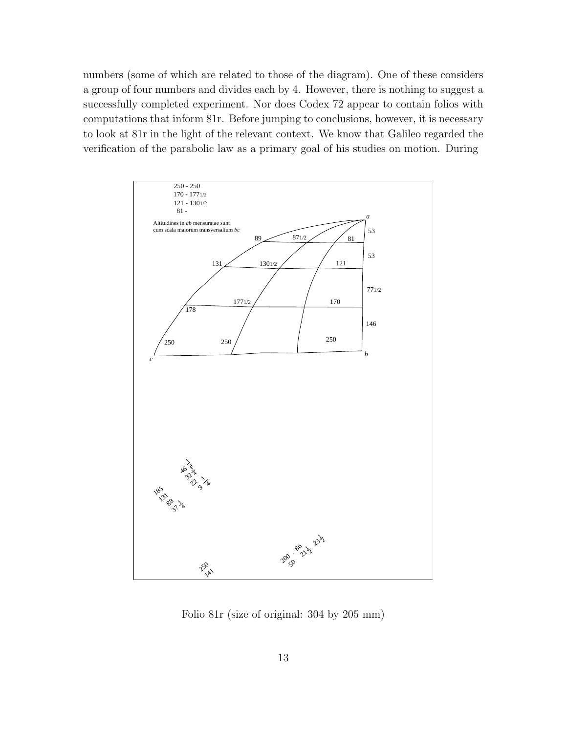numbers (some of which are related to those of the diagram). One of these considers a group of four numbers and divides each by 4. However, there is nothing to suggest a successfully completed experiment. Nor does Codex 72 appear to contain folios with computations that inform 81r. Before jumping to conclusions, however, it is necessary to look at 81r in the light of the relevant context. We know that Galileo regarded the verification of the parabolic law as a primary goal of his studies on motion. During



Folio 81r (size of original: 304 by 205 mm)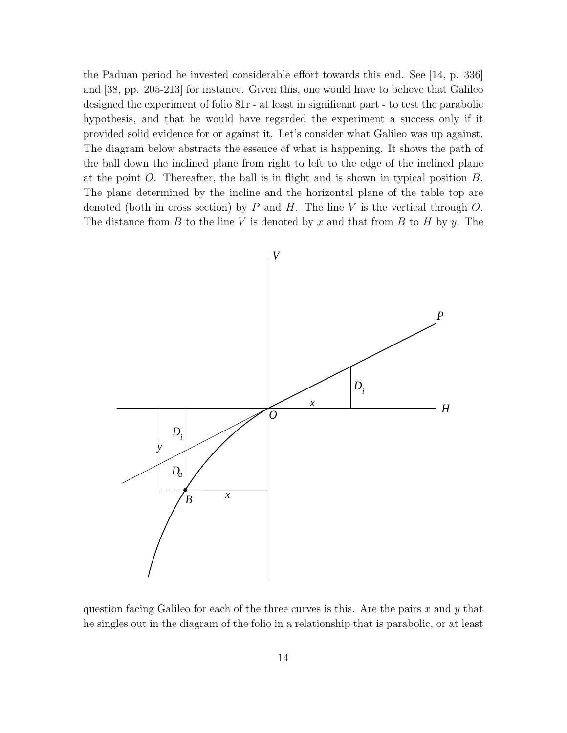the Paduan period he invested considerable effort towards this end. See [14, p. 336] and [38, pp. 205-213] for instance. Given this, one would have to believe that Galileo designed the experiment of folio 81r - at least in significant part - to test the parabolic hypothesis, and that he would have regarded the experiment a success only if it provided solid evidence for or against it. Let's consider what Galileo was up against. The diagram below abstracts the essence of what is happening. It shows the path of the ball down the inclined plane from right to left to the edge of the inclined plane at the point O. Thereafter, the ball is in flight and is shown in typical position B. The plane determined by the incline and the horizontal plane of the table top are denoted (both in cross section) by  $P$  and  $H$ . The line  $V$  is the vertical through  $O$ . The distance from  $B$  to the line  $V$  is denoted by  $x$  and that from  $B$  to  $H$  by  $y$ . The



question facing Galileo for each of the three curves is this. Are the pairs x and y that he singles out in the diagram of the folio in a relationship that is parabolic, or at least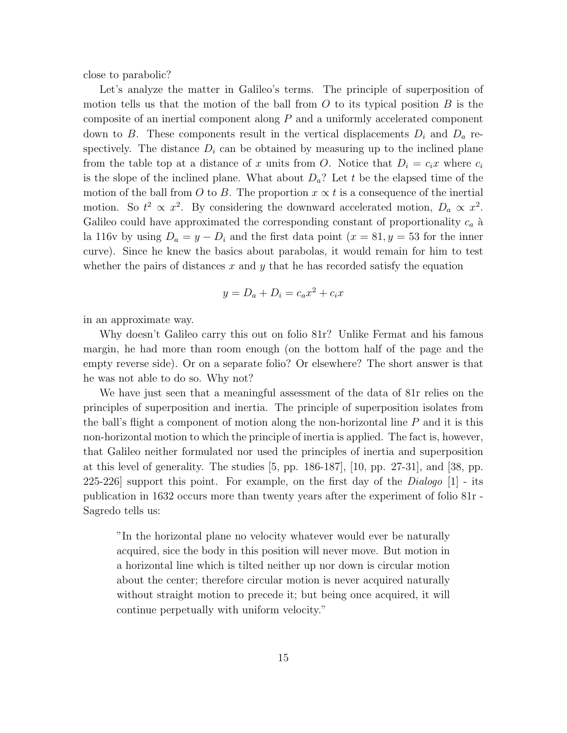close to parabolic?

Let's analyze the matter in Galileo's terms. The principle of superposition of motion tells us that the motion of the ball from  $O$  to its typical position  $B$  is the composite of an inertial component along P and a uniformly accelerated component down to B. These components result in the vertical displacements  $D_i$  and  $D_a$  respectively. The distance  $D_i$  can be obtained by measuring up to the inclined plane from the table top at a distance of x units from O. Notice that  $D_i = c_i x$  where  $c_i$ is the slope of the inclined plane. What about  $D_a$ ? Let t be the elapsed time of the motion of the ball from O to B. The proportion  $x \propto t$  is a consequence of the inertial motion. So  $t^2 \propto x^2$ . By considering the downward accelerated motion,  $D_a \propto x^2$ . Galileo could have approximated the corresponding constant of proportionality  $c_a$  à la 116v by using  $D_a = y - D_i$  and the first data point  $(x = 81, y = 53$  for the inner curve). Since he knew the basics about parabolas, it would remain for him to test whether the pairs of distances  $x$  and  $y$  that he has recorded satisfy the equation

$$
y = D_a + D_i = c_a x^2 + c_i x
$$

in an approximate way.

Why doesn't Galileo carry this out on folio 81<sup>r</sup>? Unlike Fermat and his famous margin, he had more than room enough (on the bottom half of the page and the empty reverse side). Or on a separate folio? Or elsewhere? The short answer is that he was not able to do so. Why not?

We have just seen that a meaningful assessment of the data of 81r relies on the principles of superposition and inertia. The principle of superposition isolates from the ball's flight a component of motion along the non-horizontal line  $P$  and it is this non-horizontal motion to which the principle of inertia is applied. The fact is, however, that Galileo neither formulated nor used the principles of inertia and superposition at this level of generality. The studies  $[5, pp. 186-187]$ ,  $[10, pp. 27-31]$ , and  $[38, pp.$ 225-226 support this point. For example, on the first day of the  $Dialogo$  [1] - its publication in 1632 occurs more than twenty years after the experiment of folio 81r - Sagredo tells us:

"In the horizontal plane no velocity whatever would ever be naturally acquired, sice the body in this position will never move. But motion in a horizontal line which is tilted neither up nor down is circular motion about the center; therefore circular motion is never acquired naturally without straight motion to precede it; but being once acquired, it will continue perpetually with uniform velocity."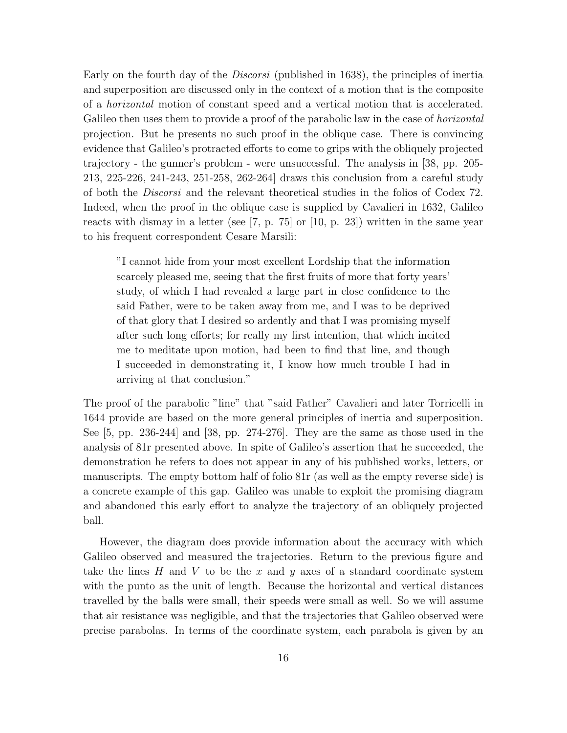Early on the fourth day of the Discorsi (published in 1638), the principles of inertia and superposition are discussed only in the context of a motion that is the composite of a horizontal motion of constant speed and a vertical motion that is accelerated. Galileo then uses them to provide a proof of the parabolic law in the case of *horizontal* projection. But he presents no such proof in the oblique case. There is convincing evidence that Galileo's protracted efforts to come to grips with the obliquely projected trajectory - the gunner's problem - were unsuccessful. The analysis in [38, pp. 205- 213, 225-226, 241-243, 251-258, 262-264] draws this conclusion from a careful study of both the Discorsi and the relevant theoretical studies in the folios of Codex 72. Indeed, when the proof in the oblique case is supplied by Cavalieri in 1632, Galileo reacts with dismay in a letter (see [7, p. 75] or [10, p. 23]) written in the same year to his frequent correspondent Cesare Marsili:

"I cannot hide from your most excellent Lordship that the information scarcely pleased me, seeing that the first fruits of more that forty years' study, of which I had revealed a large part in close confidence to the said Father, were to be taken away from me, and I was to be deprived of that glory that I desired so ardently and that I was promising myself after such longefforts; for really my first intention, that which incited me to meditate upon motion, had been to find that line, and though I succeeded in demonstrating it, I know how much trouble I had in arrivingat that conclusion."

The proof of the parabolic "line" that "said Father" Cavalieri and later Torricelli in 1644 provide are based on the more general principles of inertia and superposition. See [5, pp. 236-244] and [38, pp. 274-276]. They are the same as those used in the analysis of 81r presented above. In spite of Galileo's assertion that he succeeded, the demonstration he refers to does not appear in any of his published works, letters, or manuscripts. The empty bottom half of folio 81r (as well as the empty reverse side) is a concrete example of this gap. Galileo was unable to exploit the promising diagram and abandoned this early effort to analyze the trajectory of an obliquely projected ball.

However, the diagram does provide information about the accuracy with which Galileo observed and measured the trajectories. Return to the previous figure and take the lines  $H$  and  $V$  to be the  $x$  and  $y$  axes of a standard coordinate system with the punto as the unit of length. Because the horizontal and vertical distances travelled by the balls were small, their speeds were small as well. So we will assume that air resistance was negligible, and that the trajectories that Galileo observed were precise parabolas. In terms of the coordinate system, each parabola is given by an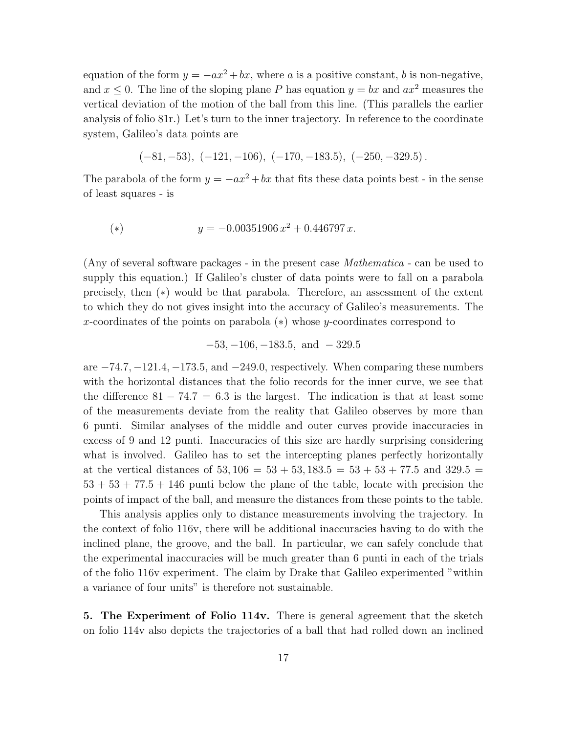equation of the form  $y = -ax^2 + bx$ , where a is a positive constant, b is non-negative, and  $x \leq 0$ . The line of the sloping plane P has equation  $y = bx$  and  $ax^2$  measures the vertical deviation of the motion of the ball from this line. (This parallels the earlier analysis of folio 81r.) Let's turn to the inner trajectory. In reference to the coordinate system, Galileo's data points are

$$
(-81, -53), \ (-121, -106), \ (-170, -183.5), \ (-250, -329.5).
$$

The parabola of the form  $y = -ax^2 + bx$  that fits these data points best - in the sense of least squares - is

(\*) 
$$
y = -0.00351906 x^2 + 0.446797 x.
$$

(Any of several software packages - in the present case Mathematica - can be used to supply this equation.) If Galileo's cluster of data points were to fall on a parabola precisely, then (∗) would be that parabola. Therefore, an assessment of the extent to which they do not gives insight into the accuracy of Galileo's measurements. The x-coordinates of the points on parabola (∗) whose y-coordinates correspond to

$$
-53, -106, -183.5, \text{ and } -329.5
$$

are  $-74.7, -121.4, -173.5,$  and  $-249.0$ , respectively. When comparing these numbers with the horizontal distances that the folio records for the inner curve, we see that the difference  $81 - 74.7 = 6.3$  is the largest. The indication is that at least some of the measurements deviate from the reality that Galileo observes by more than 6 punti. Similar analyses of the middle and outer curves provide inaccuracies in excess of 9 and 12 punti. Inaccuracies of this size are hardly surprising considering what is involved. Galileo has to set the intercepting planes perfectly horizontally at the vertical distances of  $53,106 = 53 + 53,183.5 = 53 + 53 + 77.5$  and  $329.5 =$  $53 + 53 + 77.5 + 146$  punti below the plane of the table, locate with precision the points of impact of the ball, and measure the distances from these points to the table.

This analysis applies only to distance measurements involving the trajectory. In the context of folio 116v, there will be additional inaccuracies having to do with the inclined plane, the groove, and the ball. In particular, we can safely conclude that the experimental inaccuracies will be much greater than 6 punti in each of the trials of the folio 116v experiment. The claim by Drake that Galileo experimented "within a variance of four units" is therefore not sustainable.

**5. The Experiment of Folio 114v.** There is general agreement that the sketch on folio 114v also depicts the trajectories of a ball that had rolled down an inclined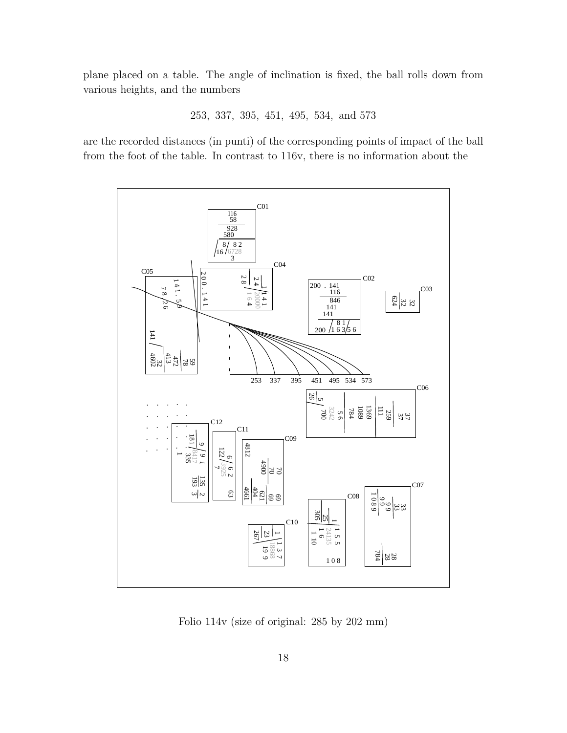plane placed on a table. The angle of inclination is fixed, the ball rolls down from various heights, and the numbers

253, 337, 395, 451, 495, 534, and 573

are the recorded distances (in punti) of the corresponding points of impact of the ball from the foot of the table. In contrast to 116v, there is no information about the



Folio 114v (size of original: 285 by 202 mm)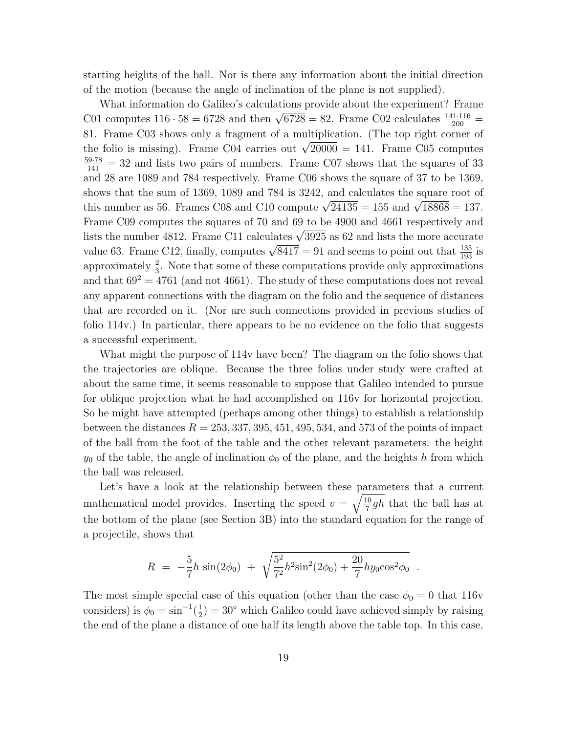starting heights of the ball. Nor is there any information about the initial direction of the motion (because the angle of inclination of the plane is not supplied).

What information do Galileo's calculations provide about the experiment? Frame C01 computes  $116 \cdot 58 = 6728$  and then  $\sqrt{6728} = 82$ . Frame C02 calculates  $\frac{141 \cdot 116}{200} =$ 81. Frame C03 shows only a fragment of a multiplication. (The top right corner of the folio is missing). Frame C04 carries out  $\sqrt{20000} = 141$ . Frame C05 computes  $\frac{59.78}{141}$  = 32 and lists two pairs of numbers. Frame C07 shows that the squares of 33 and 28 are 1089 and 784 respectively. Frame C06 shows the square of 37 to be 1369, shows that the sum of 1369, 1089 and 784 is 3242, and calculates the square root of this number as 56. Frames C08 and C10 compute  $\sqrt{24135} = 155$  and  $\sqrt{18868} = 137$ . Frame C09 computes the squares of 70 and 69 to be 4900 and 4661 respectively and lists the number 4812. Frame C11 calculates  $\sqrt{3925}$  as 62 and lists the more accurate value 63. Frame C12, finally, computes  $\sqrt{8417} = 91$  and seems to point out that  $\frac{135}{193}$  is approximately  $\frac{2}{3}$ . Note that some of these computations provide only approximations and that  $69^2 = 4761$  (and not 4661). The study of these computations does not reveal any apparent connections with the diagram on the folio and the sequence of distances that are recorded on it. (Nor are such connections provided in previous studies of folio 114v.) In particular, there appears to be no evidence on the folio that suggests a successful experiment.

What might the purpose of 114v have been? The diagram on the folio shows that the trajectories are oblique. Because the three folios under study were crafted at about the same time, it seems reasonable to suppose that Galileo intended to pursue for oblique projection what he had accomplished on 116v for horizontal projection. So he might have attempted (perhaps among other things) to establish a relationship between the distances  $R = 253, 337, 395, 451, 495, 534,$  and 573 of the points of impact of the ball from the foot of the table and the other relevant parameters: the height  $y_0$  of the table, the angle of inclination  $\phi_0$  of the plane, and the heights h from which the ball was released.

Let's have a look at the relationship between these parameters that a current mathematical model provides. Inserting the speed  $v = \sqrt{\frac{10}{7}gh}$  that the ball has at the bottom of the plane (see Section 3B) into the standard equation for the range of a projectile, shows that

$$
R = -\frac{5}{7}h\,\sin(2\phi_0) + \sqrt{\frac{5^2}{7^2}h^2\sin^2(2\phi_0) + \frac{20}{7}hy_0\cos^2\phi_0}.
$$

The most simple special case of this equation (other than the case  $\phi_0 = 0$  that 116v considers) is  $\phi_0 = \sin^{-1}(\frac{1}{2}) = 30^{\circ}$  which Galileo could have achieved simply by raising the end of the plane a distance of one half its length above the table top. In this case,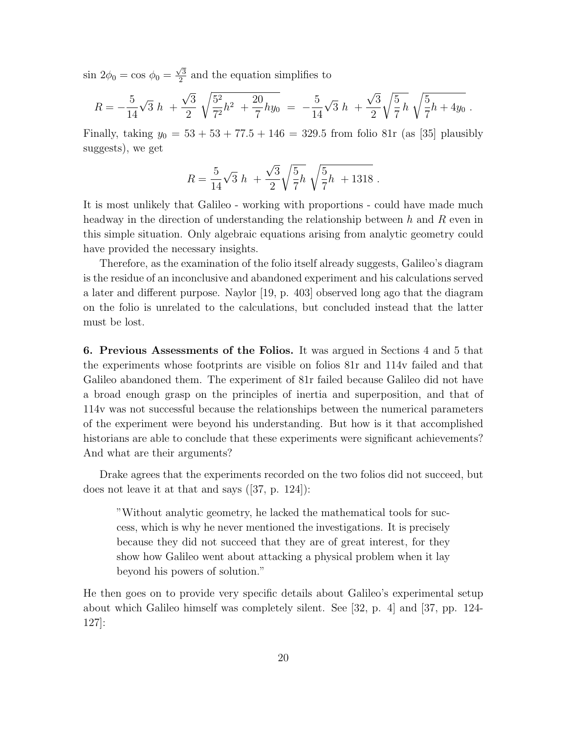$\sin 2\phi_0 = \cos \phi_0 = \frac{\sqrt{3}}{2}$  and the equation simplifies to

$$
R = -\frac{5}{14}\sqrt{3} h + \frac{\sqrt{3}}{2} \sqrt{\frac{5^2}{7^2}h^2 + \frac{20}{7}hy_0} = -\frac{5}{14}\sqrt{3} h + \frac{\sqrt{3}}{2} \sqrt{\frac{5}{7}h} \sqrt{\frac{5}{7}h + 4y_0}.
$$

Finally, taking  $y_0 = 53 + 53 + 77.5 + 146 = 329.5$  from folio 81r (as [35] plausibly suggests), we get

$$
R = \frac{5}{14}\sqrt{3} h + \frac{\sqrt{3}}{2}\sqrt{\frac{5}{7}h} \sqrt{\frac{5}{7}h + 1318}.
$$

It is most unlikely that Galileo - working with proportions - could have made much headway in the direction of understanding the relationship between h and R even in this simple situation. Only algebraic equations arising from analytic geometry could have provided the necessary insights.

Therefore, as the examination of the folio itself already suggests, Galileo's diagram is the residue of an inconclusive and abandoned experiment and his calculations served a later and different purpose. Naylor [19, p. 403] observed long ago that the diagram on the folio is unrelated to the calculations, but concluded instead that the latter must be lost.

**6. Previous Assessments of the Folios.** It was argued in Sections 4 and 5 that the experiments whose footprints are visible on folios 81r and 114v failed and that Galileo abandoned them. The experiment of 81r failed because Galileo did not have a broad enough grasp on the principles of inertia and superposition, and that of 114v was not successful because the relationships between the numerical parameters of the experiment were beyond his understanding. But how is it that accomplished historians are able to conclude that these experiments were significant achievements? And what are their arguments?

Drake agrees that the experiments recorded on the two folios did not succeed, but does not leave it at that and says ([37, p. 124]):

"Without analytic geometry, he lacked the mathematical tools for success, which is why he never mentioned the investigations. It is precisely because they did not succeed that they are of great interest, for they show how Galileo went about attacking a physical problem when it lay beyond his powers of solution."

He then goes on to provide very specific details about Galileo's experimental setup about which Galileo himself was completely silent. See [32, p. 4] and [37, pp. 124- 127]: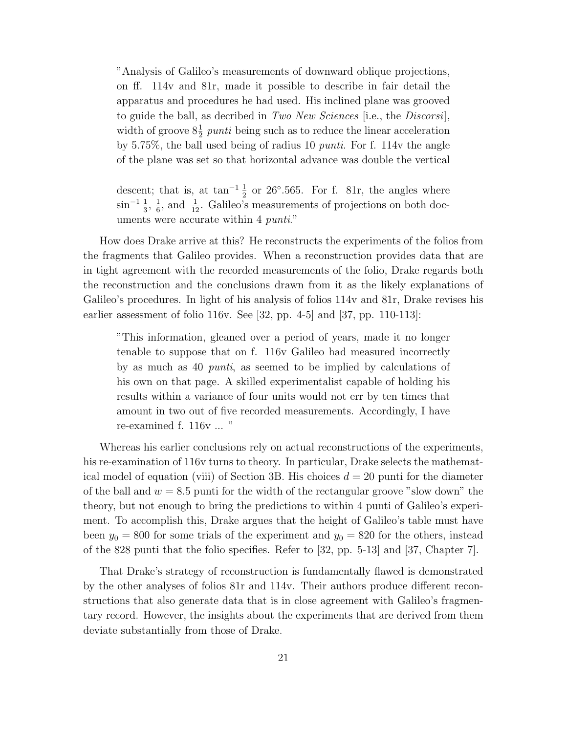"Analysis of Galileo's measurements of downward oblique projections, on ff. 114v and 81r, made it possible to describe in fair detail the apparatus and procedures he had used. His inclined plane was grooved to guide the ball, as decribed in Two New Sciences [i.e., the Discorsi], width of groove  $8\frac{1}{2}$  punti being such as to reduce the linear acceleration by 5.75%, the ball used being of radius 10 punti. For f. 114 $v$  the angle of the plane was set so that horizontal advance was double the vertical

descent; that is, at  $\tan^{-1}\frac{1}{2}$  or 26°.565. For f. 81r, the angles where  $\sin^{-1} \frac{1}{3}$ ,  $\frac{1}{6}$ , and  $\frac{1}{12}$ . Galileo's measurements of projections on both documents were accurate within 4 *punti.*"

How does Drake arrive at this? He reconstructs the experiments of the folios from the fragments that Galileo provides. When a reconstruction provides data that are in tight agreement with the recorded measurements of the folio, Drake regards both the reconstruction and the conclusions drawn from it as the likely explanations of Galileo's procedures. In light of his analysis of folios 114v and 81r, Drake revises his earlier assessment of folio 116v. See [32, pp. 4-5] and [37, pp. 110-113]:

"This information, gleaned over a period of years, made it no longer tenable to suppose that on f. 116v Galileo had measured incorrectly by as much as 40 punti, as seemed to be implied by calculations of his own on that page. A skilled experimentalist capable of holding his results within a variance of four units would not err by ten times that amount in two out of five recorded measurements. Accordingly, I have re-examined f. 116v ... "

Whereas his earlier conclusions rely on actual reconstructions of the experiments, his re-examination of 116v turns to theory. In particular, Drake selects the mathematical model of equation (viii) of Section 3B. His choices  $d = 20$  punti for the diameter of the ball and  $w = 8.5$  punti for the width of the rectangular groove "slow down" the theory, but not enough to bring the predictions to within 4 punti of Galileo's experiment. To accomplish this, Drake argues that the height of Galileo's table must have been  $y_0 = 800$  for some trials of the experiment and  $y_0 = 820$  for the others, instead of the 828 punti that the folio specifies. Refer to [32, pp. 5-13] and [37, Chapter 7].

That Drake's strategy of reconstruction is fundamentally flawed is demonstrated by the other analyses of folios 81r and 114v. Their authors produce different reconstructions that also generate data that is in close agreement with Galileo's fragmentary record. However, the insights about the experiments that are derived from them deviate substantially from those of Drake.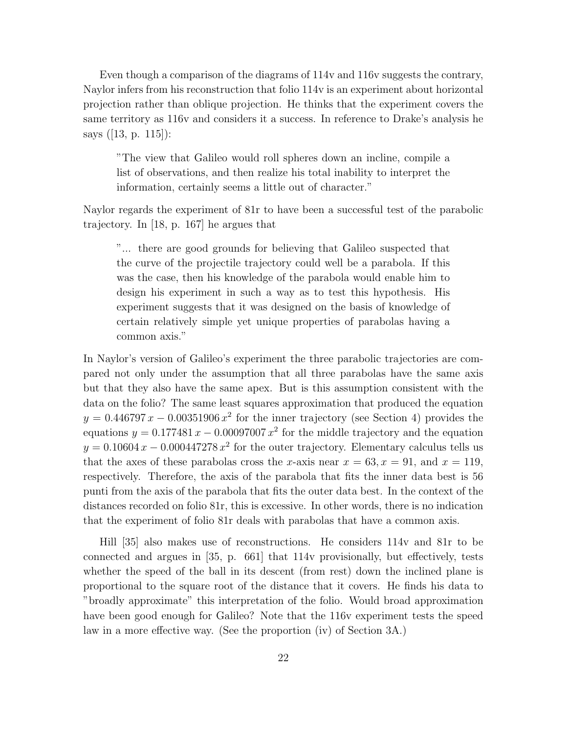Even though a comparison of the diagrams of 114v and 116v suggests the contrary, Naylor infers from his reconstruction that folio 114v is an experiment about horizontal projection rather than oblique projection. He thinks that the experiment covers the same territory as 116v and considers it a success. In reference to Drake's analysis he says ([13, p. 115]):

"The view that Galileo would roll spheres down an incline, compile a list of observations, and then realize his total inability to interpret the information, certainly seems a little out of character."

Naylor regards the experiment of 81r to have been a successful test of the parabolic trajectory. In [18, p. 167] he argues that

"... there are good grounds for believing that Galileo suspected that the curve of the projectile trajectory could well be a parabola. If this was the case, then his knowledge of the parabola would enable him to design his experiment in such a way as to test this hypothesis. His experiment suggests that it was designed on the basis of knowledge of certain relatively simple yet unique properties of parabolas having a common axis."

In Naylor's version of Galileo's experiment the three parabolic trajectories are compared not only under the assumption that all three parabolas have the same axis but that they also have the same apex. But is this assumption consistent with the data on the folio? The same least squares approximation that produced the equation  $y = 0.446797 x - 0.00351906 x^2$  for the inner trajectory (see Section 4) provides the equations  $y = 0.177481 x - 0.00097007 x^2$  for the middle trajectory and the equation  $y = 0.10604 x - 0.000447278 x^2$  for the outer trajectory. Elementary calculus tells us that the axes of these parabolas cross the x-axis near  $x = 63, x = 91$ , and  $x = 119$ , respectively. Therefore, the axis of the parabola that fits the inner data best is 56 punti from the axis of the parabola that fits the outer data best. In the context of the distances recorded on folio 81r, this is excessive. In other words, there is no indication that the experiment of folio 81r deals with parabolas that have a common axis.

Hill [35] also makes use of reconstructions. He considers 114v and 81r to be connected and argues in [35, p. 661] that 114v provisionally, but effectively, tests whether the speed of the ball in its descent (from rest) down the inclined plane is proportional to the square root of the distance that it covers. He finds his data to "broadly approximate" this interpretation of the folio. Would broad approximation have been good enough for Galileo? Note that the 116v experiment tests the speed law in a more effective way. (See the proportion (iv) of Section 3A.)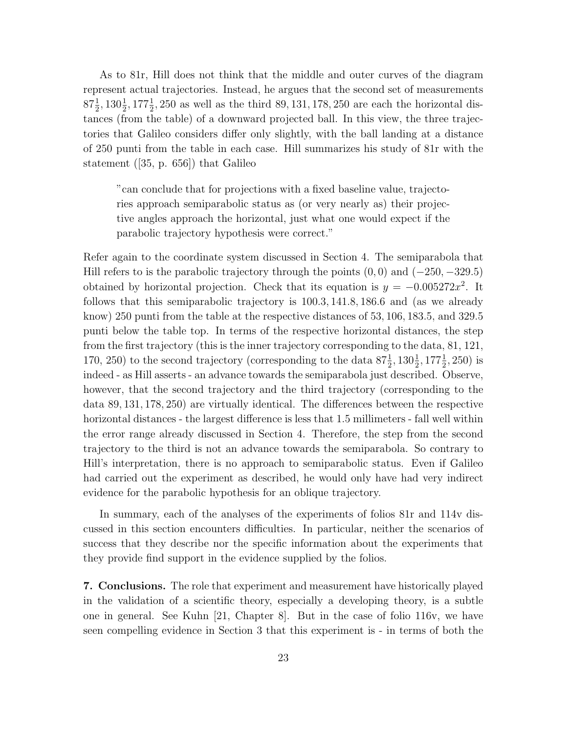As to 81r, Hill does not think that the middle and outer curves of the diagram represent actual trajectories. Instead, he argues that the second set of measurements  $87\frac{1}{2}$ ,  $130\frac{1}{2}$ ,  $177\frac{1}{2}$ , 250 as well as the third 89, 131, 178, 250 are each the horizontal distances (from the table) of a downward projected ball. In this view, the three trajectories that Galileo considers differ only slightly, with the ball landing at a distance of 250 punti from the table in each case. Hill summarizes his study of 81r with the statement ([35, p. 656]) that Galileo

"can conclude that for projections with a fixed baseline value, trajectories approach semiparabolic status as (or very nearly as) their projective angles approach the horizontal, just what one would expect if the parabolic trajectory hypothesis were correct."

Refer again to the coordinate system discussed in Section 4. The semiparabola that Hill refers to is the parabolic trajectory through the points  $(0,0)$  and  $(-250, -329.5)$ obtained by horizontal projection. Check that its equation is  $y = -0.005272x^2$ . It follows that this semiparabolic trajectory is 100.3, 141.8, 186.6 and (as we already know) 250 punti from the table at the respective distances of 53, 106, 183.5, and 329.5 punti below the table top. In terms of the respective horizontal distances, the step from the first trajectory (this is the inner trajectory corresponding to the data, 81, 121, 170, 250) to the second trajectory (corresponding to the data  $87\frac{1}{2}$ ,  $130\frac{1}{2}$ ,  $177\frac{1}{2}$ , 250) is indeed - as Hill asserts - an advance towards the semiparabola just described. Observe, however, that the second trajectory and the third trajectory (corresponding to the data 89, 131, 178, 250) are virtually identical. The differences between the respective horizontal distances - the largest difference is less that 1.5 millimeters - fall well within the error range already discussed in Section 4. Therefore, the step from the second trajectory to the third is not an advance towards the semiparabola. So contrary to Hill's interpretation, there is no approach to semiparabolic status. Even if Galileo had carried out the experiment as described, he would only have had very indirect evidence for the parabolic hypothesis for an oblique trajectory.

In summary, each of the analyses of the experiments of folios 81r and 114v discussed in this section encounters difficulties. In particular, neither the scenarios of success that they describe nor the specific information about the experiments that they provide find support in the evidence supplied by the folios.

**7. Conclusions.** The role that experiment and measurement have historically played in the validation of a scientific theory, especially a developing theory, is a subtle one in general. See Kuhn [21, Chapter 8]. But in the case of folio 116v, we have seen compelling evidence in Section 3 that this experiment is - in terms of both the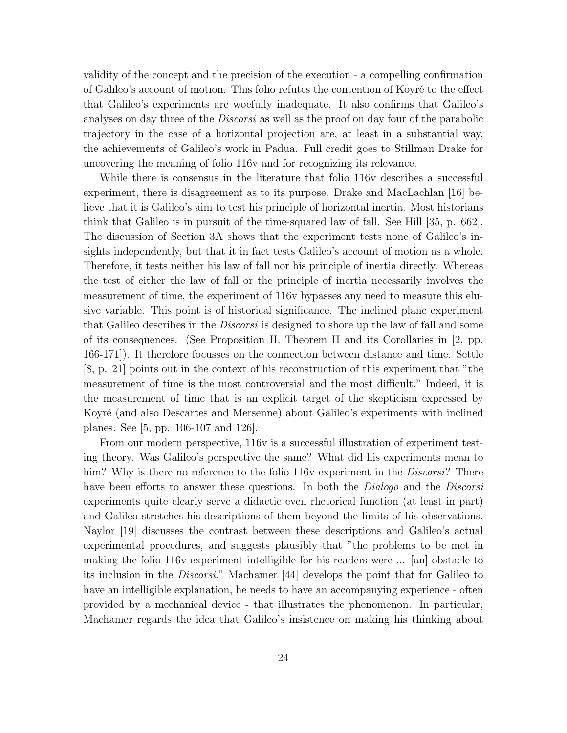validity of the concept and the precision of the execution - a compelling confirmation of Galileo's account of motion. This folio refutes the contention of Koyré to the effect that Galileo's experiments are woefully inadequate. It also confirms that Galileo's analyses on day three of the *Discorsi* as well as the proof on day four of the parabolic trajectory in the case of a horizontal projection are, at least in a substantial way, the achievements of Galileo's work in Padua. Full credit goes to Stillman Drake for uncovering the meaning of folio 116v and for recognizing its relevance.

While there is consensus in the literature that folio 116v describes a successful experiment, there is disagreement as to its purpose. Drake and MacLachlan [16] believe that it is Galileo's aim to test his principle of horizontal inertia. Most historians think that Galileo is in pursuit of the time-squared law of fall. See Hill [35, p. 662]. The discussion of Section 3A shows that the experiment tests none of Galileo's insights independently, but that it in fact tests Galileo's account of motion as a whole. Therefore, it tests neither his law of fall nor his principle of inertia directly. Whereas the test of either the law of fall or the principle of inertia necessarily involves the measurement of time, the experiment of 116v bypasses any need to measure this elusive variable. This point is of historical significance. The inclined plane experiment that Galileo describes in the *Discorsi* is designed to shore up the law of fall and some of its consequences. (See Proposition II. Theorem II and its Corollaries in [2, pp. 166-171]). It therefore focusses on the connection between distance and time. Settle [8, p. 21] points out in the context of his reconstruction of this experiment that "the measurement of time is the most controversial and the most difficult." Indeed, it is the measurement of time that is an explicit target of the skepticism expressed by Koyré (and also Descartes and Mersenne) about Galileo's experiments with inclined planes. See [5, pp. 106-107 and 126].

From our modern perspective, 116v is a successful illustration of experiment testing theory. Was Galileo's perspective the same? What did his experiments mean to him? Why is there no reference to the folio 116v experiment in the *Discorsi*? There have been efforts to answer these questions. In both the *Dialogo* and the *Discorsi* experiments quite clearly serve a didactic even rhetorical function (at least in part) and Galileo stretches his descriptions of them beyond the limits of his observations. Naylor [19] discusses the contrast between these descriptions and Galileo's actual experimental procedures, and suggests plausibly that "the problems to be met in making the folio 116v experiment intelligible for his readers were  $\ldots$  [an] obstacle to its inclusion in the Discorsi." Machamer [44] develops the point that for Galileo to have an intelligible explanation, he needs to have an accompanying experience - often provided by a mechanical device - that illustrates the phenomenon. In particular, Machamer regards the idea that Galileo's insistence on making his thinking about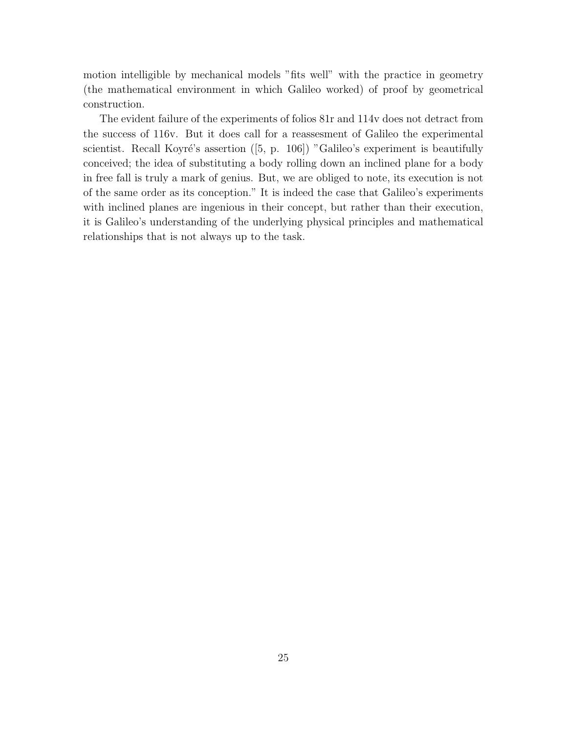motion intelligible by mechanical models "fits well" with the practice in geometry (the mathematical environment in which Galileo worked) of proof by geometrical construction.

The evident failure of the experiments of folios 81r and 114v does not detract from the success of 116v. But it does call for a reassesment of Galileo the experimental scientist. Recall Koyré's assertion ( $[5, p. 106]$ ) "Galileo's experiment is beautifully conceived; the idea of substituting a body rolling down an inclined plane for a body in free fall is truly a mark of genius. But, we are obliged to note, its execution is not of the same order as its conception." It is indeed the case that Galileo's experiments with inclined planes are ingenious in their concept, but rather than their execution, it is Galileo's understanding of the underlying physical principles and mathematical relationships that is not always up to the task.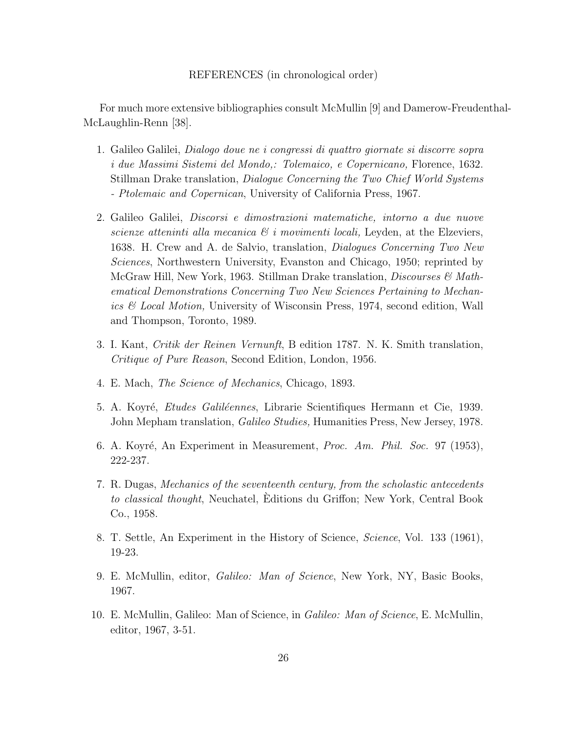## REFERENCES (in chronological order)

For much more extensive bibliographies consult McMullin [9] and Damerow-Freudenthal-McLaughlin-Renn [38].

- 1. Galileo Galilei, Dialogo doue ne i congressi di quattro giornate si discorre sopra i due Massimi Sistemi del Mondo,: Tolemaico, e Copernicano, Florence, 1632. Stillman Drake translation, Dialogue Concerning the Two Chief World Systems - Ptolemaic and Copernican, University of California Press, 1967.
- 2. Galileo Galilei, Discorsi e dimostrazioni matematiche, intorno a due nuove scienze atteninti alla mecanica  $\mathcal{B}$  i movimenti locali, Leyden, at the Elzeviers, 1638. H. Crew and A. de Salvio, translation, Dialogues Concerning Two New Sciences, Northwestern University, Evanston and Chicago, 1950; reprinted by McGraw Hill, New York, 1963. Stillman Drake translation, *Discourses*  $\mathcal{C}$  Mathematical Demonstrations Concerning Two New Sciences Pertaining to Mechanics & Local Motion, University of Wisconsin Press, 1974, second edition, Wall and Thompson, Toronto, 1989.
- 3. I. Kant, Critik der Reinen Vernunft, B edition 1787. N. K. Smith translation, Critique of Pure Reason, Second Edition, London, 1956.
- 4. E. Mach, The Science of Mechanics, Chicago, 1893.
- 5. A. Koyré, *Etudes Galiléennes*, Librarie Scientifiques Hermann et Cie, 1939. John Mepham translation, *Galileo Studies*, Humanities Press, New Jersey, 1978.
- 6. A. Koyré, An Experiment in Measurement, Proc. Am. Phil. Soc. 97 (1953), 222-237.
- 7. R. Dugas, Mechanics of the seventeenth century, from the scholastic antecedents to classical thought, Neuchatel, Editions du Griffon; New York, Central Book ` Co., 1958.
- 8. T. Settle, An Experiment in the History of Science, Science, Vol. 133 (1961), 19-23.
- 9. E. McMullin, editor, Galileo: Man of Science, New York, NY, Basic Books, 1967.
- 10. E. McMullin, Galileo: Man of Science, in Galileo: Man of Science, E. McMullin, editor, 1967, 3-51.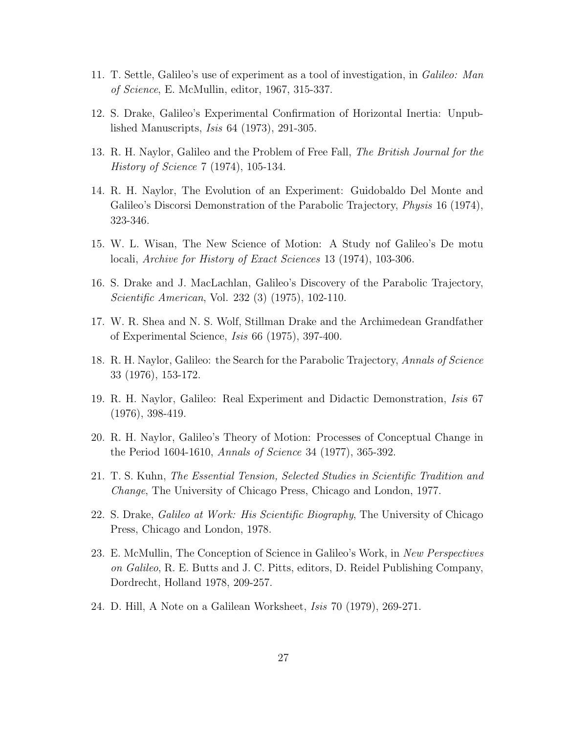- 11. T. Settle, Galileo's use of experiment as a tool of investigation, in Galileo: Man of Science, E. McMullin, editor, 1967, 315-337.
- 12. S. Drake, Galileo's Experimental Confirmation of Horizontal Inertia: Unpublished Manuscripts, Isis 64 (1973), 291-305.
- 13. R. H. Naylor, Galileo and the Problem of Free Fall, The British Journal for the History of Science 7 (1974), 105-134.
- 14. R. H. Naylor, The Evolution of an Experiment: Guidobaldo Del Monte and Galileo's Discorsi Demonstration of the Parabolic Trajectory, *Physis* 16 (1974), 323-346.
- 15. W. L. Wisan, The New Science of Motion: A Study nof Galileo's De motu locali, Archive for History of Exact Sciences 13 (1974), 103-306.
- 16. S. Drake and J. MacLachlan, Galileo's Discovery of the Parabolic Trajectory, Scientific American, Vol. 232 (3) (1975), 102-110.
- 17. W. R. Shea and N. S. Wolf, Stillman Drake and the Archimedean Grandfather of Experimental Science, Isis 66 (1975), 397-400.
- 18. R. H. Naylor, Galileo: the Search for the Parabolic Trajectory, Annals of Science 33 (1976), 153-172.
- 19. R. H. Naylor, Galileo: Real Experiment and Didactic Demonstration, Isis 67 (1976), 398-419.
- 20. R. H. Naylor, Galileo's Theory of Motion: Processes of Conceptual Change in the Period 1604-1610, Annals of Science 34 (1977), 365-392.
- 21. T. S. Kuhn, The Essential Tension, Selected Studies in Scientific Tradition and Change, The University of Chicago Press, Chicago and London, 1977.
- 22. S. Drake, Galileo at Work: His Scientific Biography, The University of Chicago Press, Chicago and London, 1978.
- 23. E. McMullin, The Conception of Science in Galileo's Work, in New Perspectives on Galileo, R. E. Butts and J. C. Pitts, editors, D. Reidel Publishing Company, Dordrecht, Holland 1978, 209-257.
- 24. D. Hill, A Note on a Galilean Worksheet, Isis 70 (1979), 269-271.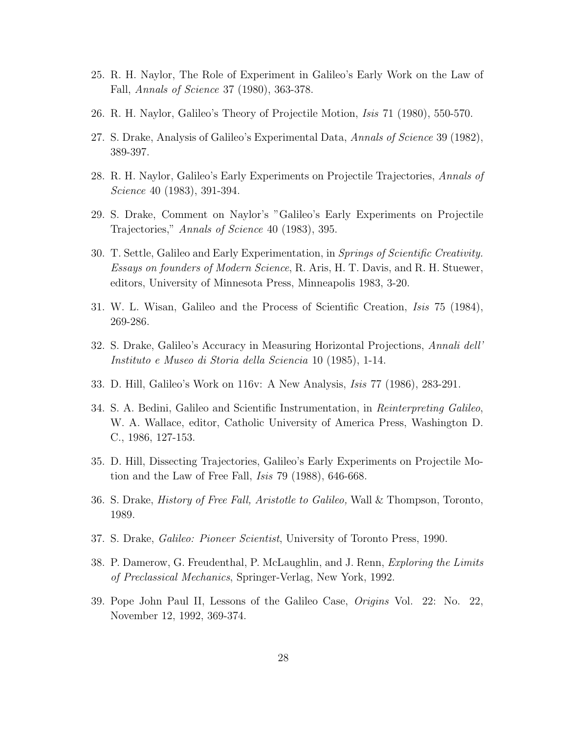- 25. R. H. Naylor, The Role of Experiment in Galileo's Early Work on the Law of Fall, Annals of Science 37 (1980), 363-378.
- 26. R. H. Naylor, Galileo's Theory of Projectile Motion, Isis 71 (1980), 550-570.
- 27. S. Drake, Analysis of Galileo's Experimental Data, Annals of Science 39 (1982), 389-397.
- 28. R. H. Naylor, Galileo's Early Experiments on Projectile Trajectories, Annals of Science 40 (1983), 391-394.
- 29. S. Drake, Comment on Naylor's "Galileo's Early Experiments on Projectile Trajectories," Annals of Science 40 (1983), 395.
- 30. T. Settle, Galileo and Early Experimentation, in Springs of Scientific Creativity. Essays on founders of Modern Science, R. Aris, H. T. Davis, and R. H. Stuewer, editors, University of Minnesota Press, Minneapolis 1983, 3-20.
- 31. W. L. Wisan, Galileo and the Process of Scientific Creation, Isis 75 (1984), 269-286.
- 32. S. Drake, Galileo's Accuracy in Measuring Horizontal Projections, Annali dell' Instituto e Museo di Storia della Sciencia 10 (1985), 1-14.
- 33. D. Hill, Galileo's Work on 116v: A New Analysis, Isis 77 (1986), 283-291.
- 34. S. A. Bedini, Galileo and Scientific Instrumentation, in Reinterpreting Galileo, W. A. Wallace, editor, Catholic University of America Press, Washington D. C., 1986, 127-153.
- 35. D. Hill, DissectingTrajectories, Galileo's Early Experiments on Projectile Motion and the Law of Free Fall, Isis 79 (1988), 646-668.
- 36. S. Drake, History of Free Fall, Aristotle to Galileo, Wall & Thompson, Toronto, 1989.
- 37. S. Drake, Galileo: Pioneer Scientist, University of Toronto Press, 1990.
- 38. P. Damerow, G. Freudenthal, P. McLaughlin, and J. Renn, Exploring the Limits of Preclassical Mechanics, Springer-Verlag, New York, 1992.
- 39. Pope John Paul II, Lessons of the Galileo Case, Origins Vol. 22: No. 22, November 12, 1992, 369-374.